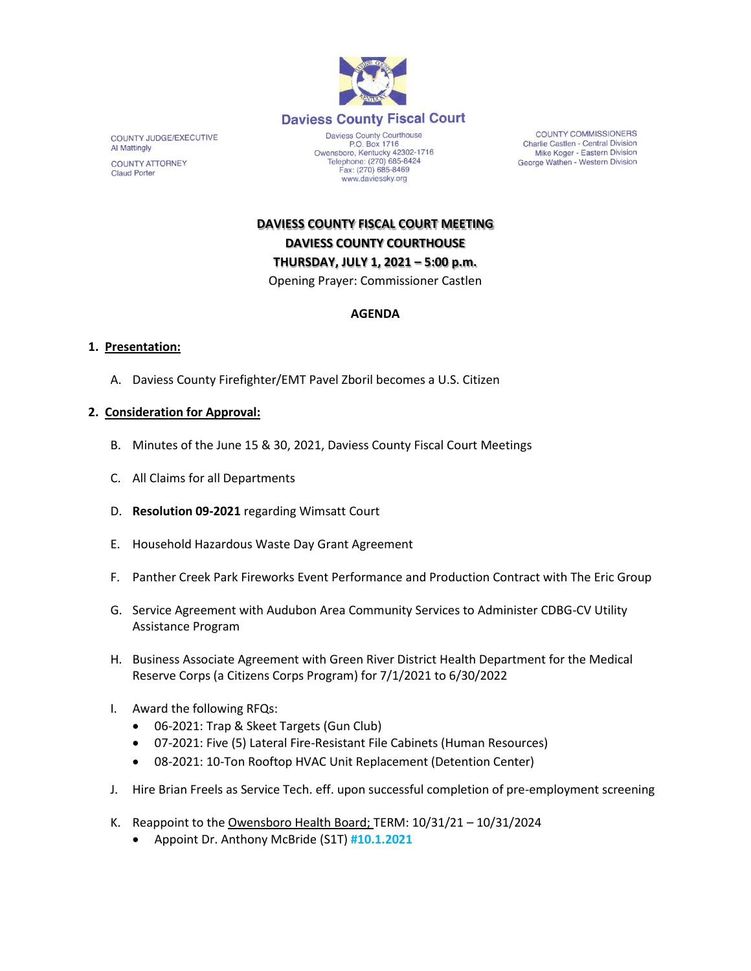

COUNTY JUDGE/EXECUTIVE Al Mattingly **COUNTY ATTORNEY Claud Porter** 

Daviess County Courthouse P.O. Box 1716<br>Owensboro, Kentucky 42302-1716<br>Telephone: (270) 685-8424 Fax: (270) 685-8469 www.daviessky.org

**COUNTY COMMISSIONERS** Charlie Castlen - Central Division Mike Koger - Eastern Division George Wathen - Western Division

**DAVIESS COUNTY FISCAL COURT MEETING DAVIESS COUNTY COURTHOUSE THURSDAY, JULY 1, 2021 – 5:00 p.m.**  Opening Prayer: Commissioner Castlen

# **AGENDA**

#### **1. Presentation:**

A. Daviess County Firefighter/EMT Pavel Zboril becomes a U.S. Citizen

### **2. Consideration for Approval:**

- B. Minutes of the June 15 & 30, 2021, Daviess County Fiscal Court Meetings
- C. All Claims for all Departments
- D. **Resolution 09-2021** regarding Wimsatt Court
- E. Household Hazardous Waste Day Grant Agreement
- F. Panther Creek Park Fireworks Event Performance and Production Contract with The Eric Group
- G. Service Agreement with Audubon Area Community Services to Administer CDBG-CV Utility Assistance Program
- H. Business Associate Agreement with Green River District Health Department for the Medical Reserve Corps (a Citizens Corps Program) for 7/1/2021 to 6/30/2022
- I. Award the following RFQs:
	- 06-2021: Trap & Skeet Targets (Gun Club)
	- 07-2021: Five (5) Lateral Fire-Resistant File Cabinets (Human Resources)
	- 08-2021: 10-Ton Rooftop HVAC Unit Replacement (Detention Center)
- J. Hire Brian Freels as Service Tech. eff. upon successful completion of pre-employment screening
- K. Reappoint to the Owensboro Health Board; TERM: 10/31/21 10/31/2024
	- Appoint Dr. Anthony McBride (S1T) **#10.1.2021**